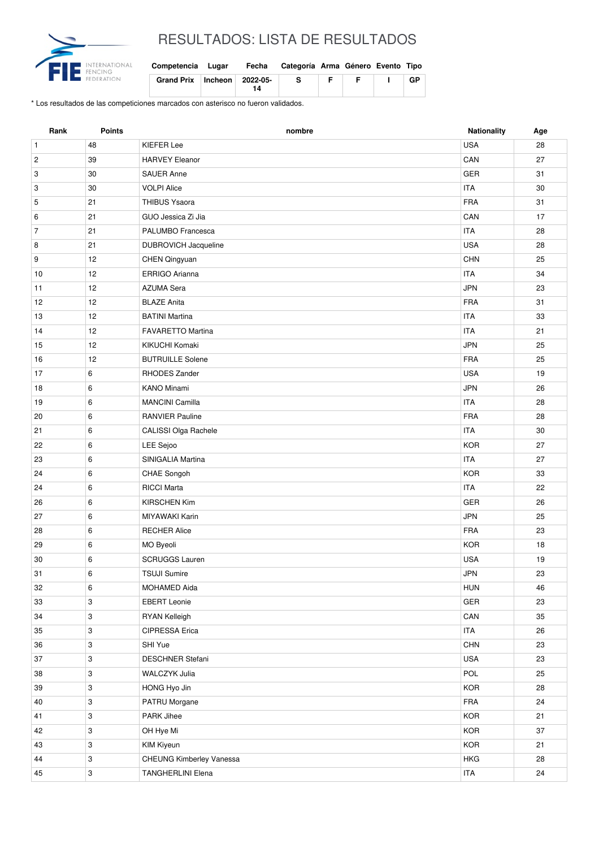

## RESULTADOS: LISTA DE RESULTADOS

| Competencia Lugar |                                 |    | Fecha Categoría Arma Género Evento Tipo |    |   |    |
|-------------------|---------------------------------|----|-----------------------------------------|----|---|----|
|                   | Grand Prix   Incheon   2022-05- | 14 | -S                                      | E. | Е | GP |

\* Los resultados de las competiciones marcados con asterisco no fueron validados.

| Rank           | <b>Points</b>             | nombre                   | Nationality | Age |
|----------------|---------------------------|--------------------------|-------------|-----|
| $\mathbf{1}$   | 48                        | <b>KIEFER Lee</b>        | <b>USA</b>  | 28  |
| $\overline{c}$ | 39                        | <b>HARVEY Eleanor</b>    | CAN         | 27  |
| 3              | 30                        | <b>SAUER Anne</b>        | <b>GER</b>  | 31  |
| 3              | 30                        | <b>VOLPI Alice</b>       | <b>ITA</b>  | 30  |
| 5              | 21                        | <b>THIBUS Ysaora</b>     | <b>FRA</b>  | 31  |
| 6              | 21                        | GUO Jessica Zi Jia       | CAN         | 17  |
| $\overline{7}$ | 21                        | PALUMBO Francesca        | <b>ITA</b>  | 28  |
| 8              | 21                        | DUBROVICH Jacqueline     | <b>USA</b>  | 28  |
| 9              | 12                        | <b>CHEN Qingyuan</b>     | <b>CHN</b>  | 25  |
| 10             | 12                        | ERRIGO Arianna           | <b>ITA</b>  | 34  |
| 11             | 12                        | <b>AZUMA Sera</b>        | <b>JPN</b>  | 23  |
| 12             | 12                        | <b>BLAZE Anita</b>       | <b>FRA</b>  | 31  |
| 13             | 12                        | <b>BATINI Martina</b>    | <b>ITA</b>  | 33  |
| 14             | 12                        | <b>FAVARETTO Martina</b> | <b>ITA</b>  | 21  |
| 15             | 12                        | KIKUCHI Komaki           | <b>JPN</b>  | 25  |
| 16             | 12                        | <b>BUTRUILLE Solene</b>  | <b>FRA</b>  | 25  |
| 17             | 6                         | RHODES Zander            | <b>USA</b>  | 19  |
| 18             | 6                         | <b>KANO Minami</b>       | <b>JPN</b>  | 26  |
| 19             | 6                         | <b>MANCINI Camilla</b>   | <b>ITA</b>  | 28  |
| 20             | 6                         | <b>RANVIER Pauline</b>   | <b>FRA</b>  | 28  |
| 21             | 6                         | CALISSI Olga Rachele     | <b>ITA</b>  | 30  |
| 22             | 6                         | LEE Sejoo                | <b>KOR</b>  | 27  |
| 23             | 6                         | SINIGALIA Martina        | <b>ITA</b>  | 27  |
| 24             | 6                         | CHAE Songoh              | <b>KOR</b>  | 33  |
| 24             | 6                         | <b>RICCI Marta</b>       | <b>ITA</b>  | 22  |
| 26             | 6                         | <b>KIRSCHEN Kim</b>      | <b>GER</b>  | 26  |
| 27             | 6                         | MIYAWAKI Karin           | <b>JPN</b>  | 25  |
| 28             | 6                         | <b>RECHER Alice</b>      | <b>FRA</b>  | 23  |
| 29             | 6                         | MO Byeoli                | <b>KOR</b>  | 18  |
| 30             | 6                         | <b>SCRUGGS Lauren</b>    | <b>USA</b>  | 19  |
| 31             | $\,6\,$                   | <b>TSUJI Sumire</b>      | <b>JPN</b>  | 23  |
| 32             | 6                         | MOHAMED Aida             | <b>HUN</b>  | 46  |
| 33             | 3                         | <b>EBERT</b> Leonie      | GER         | 23  |
| 34             | 3                         | RYAN Kelleigh            | CAN         | 35  |
| 35             | 3                         | CIPRESSA Erica           | ITA         | 26  |
| 36             | 3                         | SHI Yue                  | <b>CHN</b>  | 23  |
| 37             | $\ensuremath{\mathsf{3}}$ | DESCHNER Stefani         | <b>USA</b>  | 23  |
| 38             | 3                         | WALCZYK Julia            | POL         | 25  |
| 39             | 3                         | HONG Hyo Jin             | <b>KOR</b>  | 28  |
| 40             | $\mathbf{3}$              | PATRU Morgane            | FRA         | 24  |
| 41             | 3                         | PARK Jihee               | KOR         | 21  |
| 42             | 3                         | OH Hye Mi                | KOR         | 37  |
| 43             | $\mathbf{3}$              | KIM Kiyeun               | KOR         | 21  |
| 44             | 3                         | CHEUNG Kimberley Vanessa | <b>HKG</b>  | 28  |
| 45             | $\mathbf{3}$              | <b>TANGHERLINI Elena</b> | <b>ITA</b>  | 24  |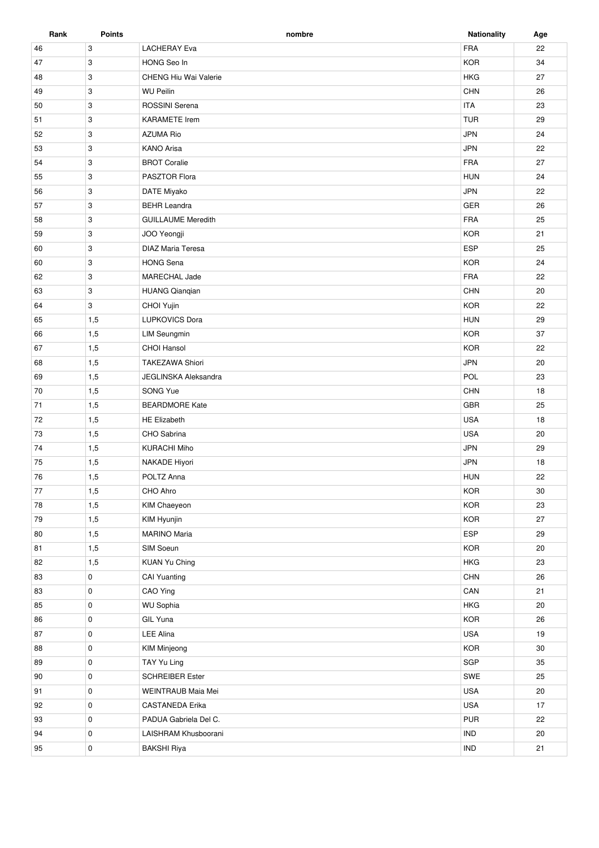| Rank     | <b>Points</b> | nombre                                       | <b>Nationality</b> | Age |
|----------|---------------|----------------------------------------------|--------------------|-----|
| 46       | 3             | <b>LACHERAY Eva</b>                          | <b>FRA</b>         | 22  |
| 47       | 3             | HONG Seo In                                  | <b>KOR</b>         | 34  |
| 48       | 3             | <b>CHENG Hiu Wai Valerie</b>                 | <b>HKG</b>         | 27  |
| 49       | 3             | <b>WU Peilin</b>                             | CHN                | 26  |
| 50       | 3             | ROSSINI Serena                               | <b>ITA</b>         | 23  |
| 51       | 3             | <b>KARAMETE</b> Irem                         | <b>TUR</b>         | 29  |
| 52       | 3             | <b>AZUMA Rio</b>                             | <b>JPN</b>         | 24  |
| 53       | 3             | <b>KANO Arisa</b>                            | <b>JPN</b>         | 22  |
| 54       | 3             | <b>BROT Coralie</b>                          | <b>FRA</b>         | 27  |
| 55       | 3             | PASZTOR Flora                                | <b>HUN</b>         | 24  |
| 56       | 3             | DATE Miyako                                  | <b>JPN</b>         | 22  |
| 57       | 3             | <b>BEHR Leandra</b>                          | GER                | 26  |
| 58       | 3             | <b>GUILLAUME Meredith</b>                    | <b>FRA</b>         | 25  |
| 59       | 3             | JOO Yeongji                                  | <b>KOR</b>         | 21  |
| 60       | 3             | <b>DIAZ Maria Teresa</b>                     | ESP                | 25  |
| 60       | 3             | <b>HONG Sena</b>                             | <b>KOR</b>         | 24  |
| 62       | 3             | MARECHAL Jade                                | <b>FRA</b>         | 22  |
| 63       | 3             | <b>HUANG Qianqian</b>                        | CHN                | 20  |
| 64       | 3             | CHOI Yujin                                   | <b>KOR</b>         | 22  |
| 65       | 1,5           | <b>LUPKOVICS Dora</b>                        | <b>HUN</b>         | 29  |
| 66       | 1,5           | <b>LIM Seungmin</b>                          | <b>KOR</b>         | 37  |
| 67       | 1,5           | <b>CHOI Hansol</b>                           | <b>KOR</b>         | 22  |
| 68       | 1,5           | <b>TAKEZAWA Shiori</b>                       | <b>JPN</b>         | 20  |
| 69       | 1,5           | <b>JEGLINSKA Aleksandra</b>                  | POL                | 23  |
| 70       | 1,5           | SONG Yue                                     | CHN                | 18  |
| 71       | 1,5           | <b>BEARDMORE Kate</b>                        | <b>GBR</b>         | 25  |
| 72       | 1,5           | <b>HE Elizabeth</b>                          | <b>USA</b>         | 18  |
| 73       | 1,5           | CHO Sabrina                                  | <b>USA</b>         | 20  |
| 74       | 1,5           | <b>KURACHI Miho</b>                          | <b>JPN</b>         | 29  |
| 75       | 1,5           | NAKADE Hiyori                                | <b>JPN</b>         | 18  |
| 76       | 1,5           | POLTZ Anna                                   | <b>HUN</b>         | 22  |
| $77$     | 1,5           | CHO Ahro                                     | KOR                | 30  |
| 78       | 1,5           | KIM Chaeyeon                                 | <b>KOR</b>         | 23  |
| 79       | 1,5           | KIM Hyunjin                                  | <b>KOR</b>         | 27  |
| 80       | 1,5           | <b>MARINO Maria</b>                          | <b>ESP</b>         | 29  |
| 81       | 1,5           | SIM Soeun                                    | <b>KOR</b>         | 20  |
| 82       | 1,5           | KUAN Yu Ching                                | <b>HKG</b>         | 23  |
| 83       | 0             | <b>CAI Yuanting</b>                          | CHN                | 26  |
| 83       | 0             | CAO Ying                                     | CAN                | 21  |
| 85       | 0             | <b>WU Sophia</b>                             | <b>HKG</b>         | 20  |
| 86       | 0             | GIL Yuna                                     | KOR                | 26  |
| 87       | 0             | <b>LEE Alina</b>                             | <b>USA</b>         | 19  |
| 88       | 0             | KIM Minjeong                                 | <b>KOR</b>         | 30  |
| 89       | 0             | TAY Yu Ling                                  | SGP                | 35  |
| 90       | 0             | <b>SCHREIBER Ester</b>                       | SWE                | 25  |
|          | $\mathbf 0$   |                                              | <b>USA</b>         | 20  |
| 91<br>92 | 0             | WEINTRAUB Maia Mei<br><b>CASTANEDA Erika</b> | <b>USA</b>         | 17  |
|          |               |                                              |                    |     |
| 93       | 0             | PADUA Gabriela Del C.                        | <b>PUR</b>         | 22  |
| 94       | 0             | LAISHRAM Khusboorani                         | <b>IND</b>         | 20  |
| 95       | $\mathbf 0$   | <b>BAKSHI Riya</b>                           | <b>IND</b>         | 21  |